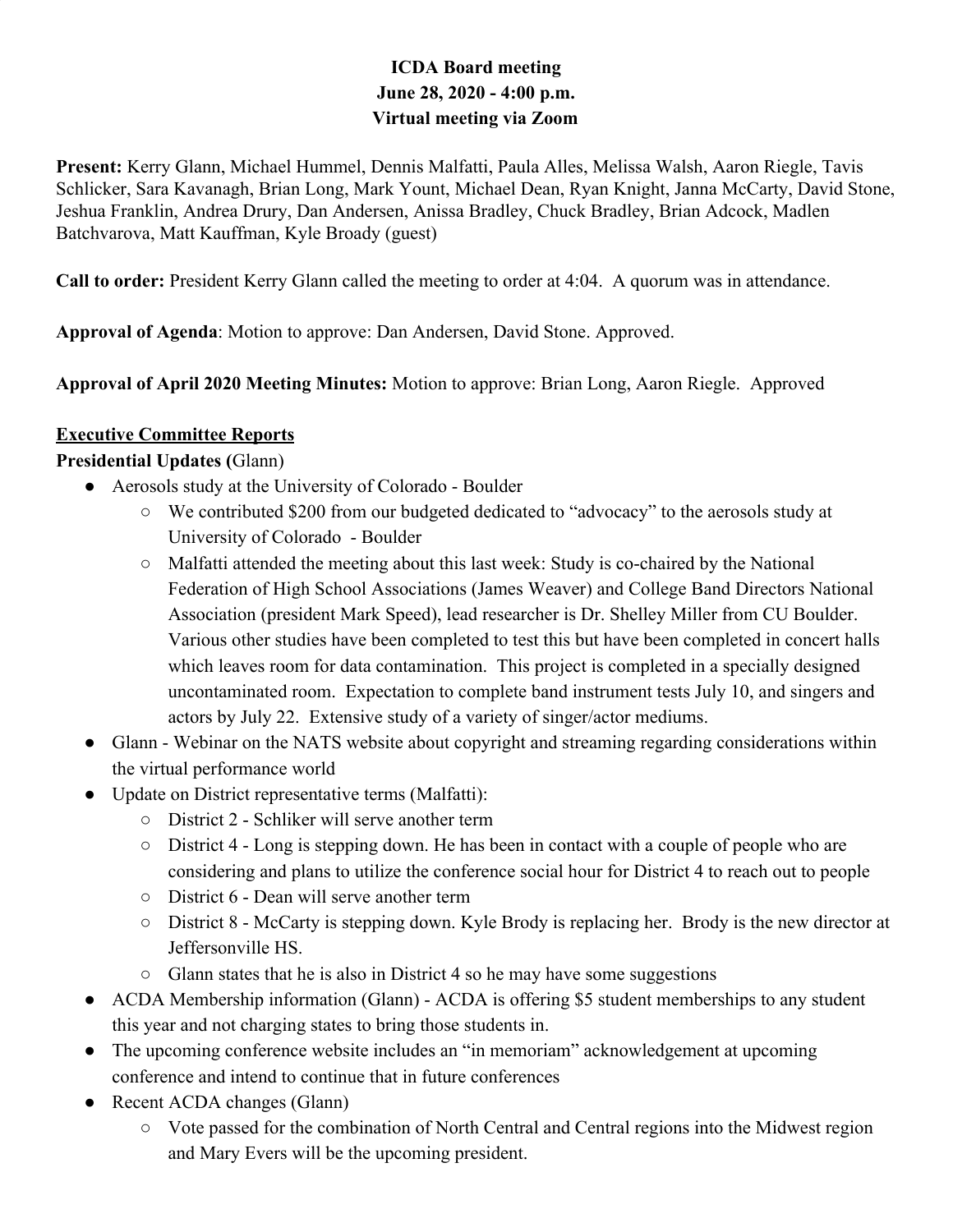### **ICDA Board meeting June 28, 2020 - 4:00 p.m. Virtual meeting via Zoom**

**Present:** Kerry Glann, Michael Hummel, Dennis Malfatti, Paula Alles, Melissa Walsh, Aaron Riegle, Tavis Schlicker, Sara Kavanagh, Brian Long, Mark Yount, Michael Dean, Ryan Knight, Janna McCarty, David Stone, Jeshua Franklin, Andrea Drury, Dan Andersen, Anissa Bradley, Chuck Bradley, Brian Adcock, Madlen Batchvarova, Matt Kauffman, Kyle Broady (guest)

**Call to order:** President Kerry Glann called the meeting to order at 4:04. A quorum was in attendance.

**Approval of Agenda**: Motion to approve: Dan Andersen, David Stone. Approved.

**Approval of April 2020 Meeting Minutes:** Motion to approve: Brian Long, Aaron Riegle. Approved

#### **Executive Committee Reports**

#### **Presidential Updates (**Glann)

- Aerosols study at the University of Colorado Boulder
	- We contributed \$200 from our budgeted dedicated to "advocacy" to the aerosols study at University of Colorado - Boulder
	- Malfatti attended the meeting about this last week: Study is co-chaired by the National Federation of High School Associations (James Weaver) and College Band Directors National Association (president Mark Speed), lead researcher is Dr. Shelley Miller from CU Boulder. Various other studies have been completed to test this but have been completed in concert halls which leaves room for data contamination. This project is completed in a specially designed uncontaminated room. Expectation to complete band instrument tests July 10, and singers and actors by July 22. Extensive study of a variety of singer/actor mediums.
- Glann Webinar on the NATS website about copyright and streaming regarding considerations within the virtual performance world
- Update on District representative terms (Malfatti):
	- District 2 Schliker will serve another term
	- District 4 Long is stepping down. He has been in contact with a couple of people who are considering and plans to utilize the conference social hour for District 4 to reach out to people
	- District 6 Dean will serve another term
	- District 8 McCarty is stepping down. Kyle Brody is replacing her. Brody is the new director at Jeffersonville HS.
	- Glann states that he is also in District 4 so he may have some suggestions
- ACDA Membership information (Glann) ACDA is offering \$5 student memberships to any student this year and not charging states to bring those students in.
- The upcoming conference website includes an "in memoriam" acknowledgement at upcoming conference and intend to continue that in future conferences
- Recent ACDA changes (Glann)
	- Vote passed for the combination of North Central and Central regions into the Midwest region and Mary Evers will be the upcoming president.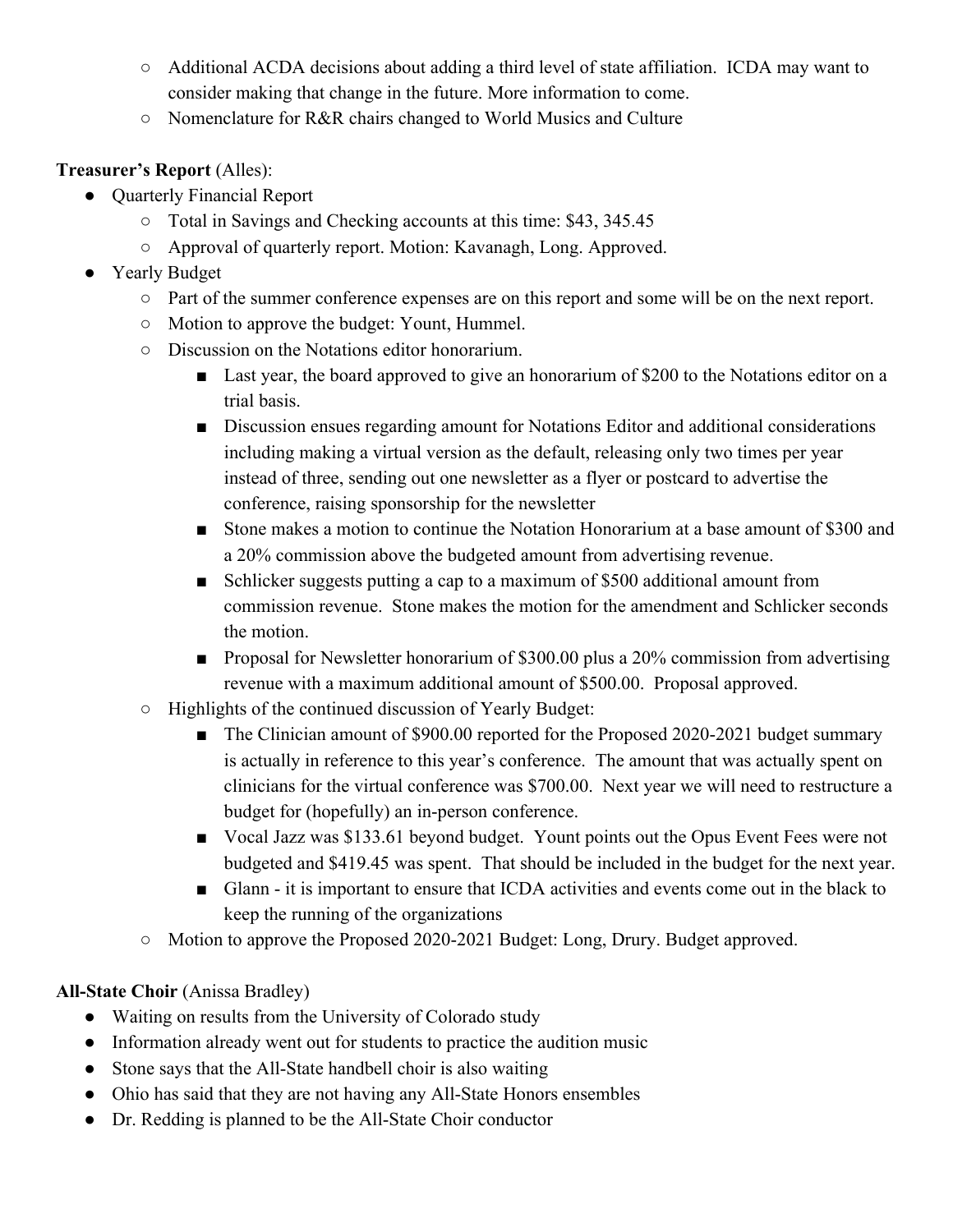- Additional ACDA decisions about adding a third level of state affiliation. ICDA may want to consider making that change in the future. More information to come.
- Nomenclature for R&R chairs changed to World Musics and Culture

#### **Treasurer's Report** (Alles):

- Quarterly Financial Report
	- Total in Savings and Checking accounts at this time: \$43, 345.45
	- Approval of quarterly report. Motion: Kavanagh, Long. Approved.
- Yearly Budget
	- Part of the summer conference expenses are on this report and some will be on the next report.
	- Motion to approve the budget: Yount, Hummel.
	- Discussion on the Notations editor honorarium.
		- Last year, the board approved to give an honorarium of \$200 to the Notations editor on a trial basis.
		- Discussion ensues regarding amount for Notations Editor and additional considerations including making a virtual version as the default, releasing only two times per year instead of three, sending out one newsletter as a flyer or postcard to advertise the conference, raising sponsorship for the newsletter
		- Stone makes a motion to continue the Notation Honorarium at a base amount of \$300 and a 20% commission above the budgeted amount from advertising revenue.
		- Schlicker suggests putting a cap to a maximum of \$500 additional amount from commission revenue. Stone makes the motion for the amendment and Schlicker seconds the motion.
		- Proposal for Newsletter honorarium of \$300.00 plus a 20% commission from advertising revenue with a maximum additional amount of \$500.00. Proposal approved.
	- Highlights of the continued discussion of Yearly Budget:
		- The Clinician amount of \$900.00 reported for the Proposed 2020-2021 budget summary is actually in reference to this year's conference. The amount that was actually spent on clinicians for the virtual conference was \$700.00. Next year we will need to restructure a budget for (hopefully) an in-person conference.
		- Vocal Jazz was \$133.61 beyond budget. Yount points out the Opus Event Fees were not budgeted and \$419.45 was spent. That should be included in the budget for the next year.
		- Glann it is important to ensure that ICDA activities and events come out in the black to keep the running of the organizations
	- Motion to approve the Proposed 2020-2021 Budget: Long, Drury. Budget approved.

#### **All-State Choir** (Anissa Bradley)

- Waiting on results from the University of Colorado study
- Information already went out for students to practice the audition music
- Stone says that the All-State handbell choir is also waiting
- Ohio has said that they are not having any All-State Honors ensembles
- Dr. Redding is planned to be the All-State Choir conductor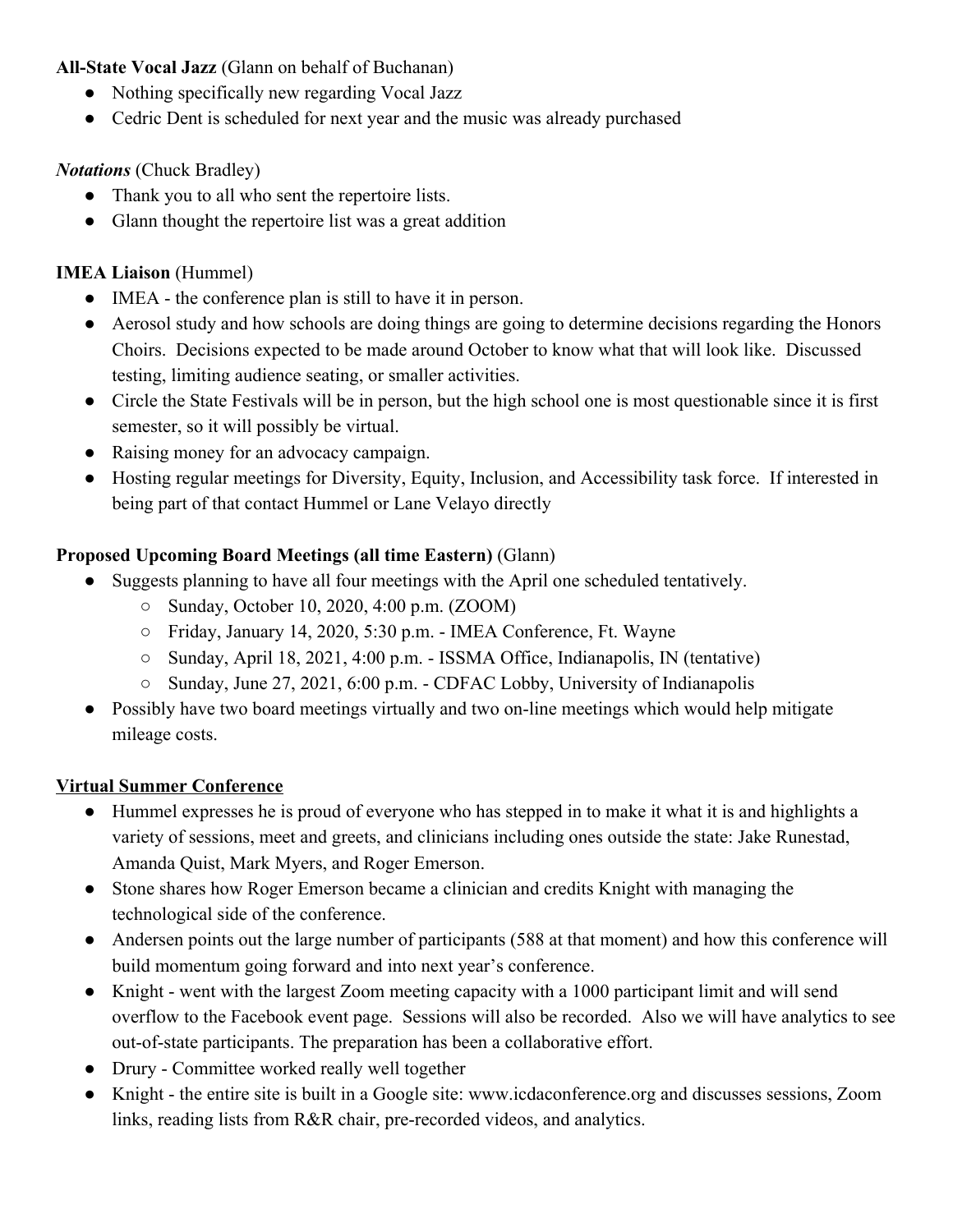#### **All-State Vocal Jazz** (Glann on behalf of Buchanan)

- Nothing specifically new regarding Vocal Jazz
- Cedric Dent is scheduled for next year and the music was already purchased

#### *Notations* (Chuck Bradley)

- Thank you to all who sent the repertoire lists.
- Glann thought the repertoire list was a great addition

### **IMEA Liaison** (Hummel)

- IMEA the conference plan is still to have it in person.
- Aerosol study and how schools are doing things are going to determine decisions regarding the Honors Choirs. Decisions expected to be made around October to know what that will look like. Discussed testing, limiting audience seating, or smaller activities.
- Circle the State Festivals will be in person, but the high school one is most questionable since it is first semester, so it will possibly be virtual.
- Raising money for an advocacy campaign.
- Hosting regular meetings for Diversity, Equity, Inclusion, and Accessibility task force. If interested in being part of that contact Hummel or Lane Velayo directly

## **Proposed Upcoming Board Meetings (all time Eastern)** (Glann)

- Suggests planning to have all four meetings with the April one scheduled tentatively.
	- Sunday, October 10, 2020, 4:00 p.m. (ZOOM)
	- Friday, January 14, 2020, 5:30 p.m. IMEA Conference, Ft. Wayne
	- Sunday, April 18, 2021, 4:00 p.m. ISSMA Office, Indianapolis, IN (tentative)
	- Sunday, June 27, 2021, 6:00 p.m. CDFAC Lobby, University of Indianapolis
- Possibly have two board meetings virtually and two on-line meetings which would help mitigate mileage costs.

#### **Virtual Summer Conference**

- Hummel expresses he is proud of everyone who has stepped in to make it what it is and highlights a variety of sessions, meet and greets, and clinicians including ones outside the state: Jake Runestad, Amanda Quist, Mark Myers, and Roger Emerson.
- Stone shares how Roger Emerson became a clinician and credits Knight with managing the technological side of the conference.
- Andersen points out the large number of participants (588 at that moment) and how this conference will build momentum going forward and into next year's conference.
- Knight went with the largest Zoom meeting capacity with a 1000 participant limit and will send overflow to the Facebook event page. Sessions will also be recorded. Also we will have analytics to see out-of-state participants. The preparation has been a collaborative effort.
- Drury Committee worked really well together
- Knight the entire site is built in a Google site: www.icdaconference.org and discusses sessions, Zoom links, reading lists from R&R chair, pre-recorded videos, and analytics.